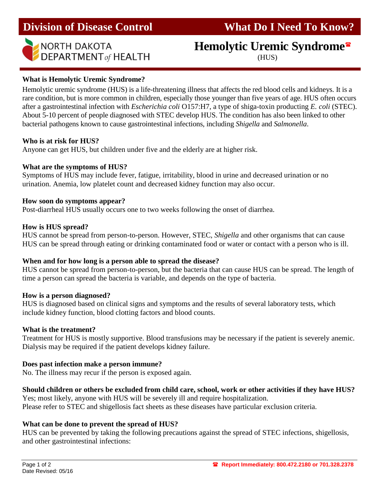### **Division of Disease Control What Do I Need To Know?**



# NORTH DAKOTA<br>DEPARTMENT<sub>of</sub> HEALTH **Hemolytic Urem**

## **Hemolytic Uremic Syndrome**

#### **What is Hemolytic Uremic Syndrome?**

Hemolytic uremic syndrome (HUS) is a life-threatening illness that affects the red blood cells and kidneys. It is a rare condition, but is more common in children, especially those younger than five years of age. HUS often occurs after a gastrointestinal infection with *Escherichia coli* O157:H7, a type of shiga-toxin producting *E. coli* (STEC). About 5-10 percent of people diagnosed with STEC develop HUS. The condition has also been linked to other bacterial pathogens known to cause gastrointestinal infections, including *Shigella* and *Salmonella*.

#### **Who is at risk for HUS?**

Anyone can get HUS, but children under five and the elderly are at higher risk.

#### **What are the symptoms of HUS?**

Symptoms of HUS may include fever, fatigue, irritability, blood in urine and decreased urination or no urination. Anemia, low platelet count and decreased kidney function may also occur.

#### **How soon do symptoms appear?**

Post-diarrheal HUS usually occurs one to two weeks following the onset of diarrhea.

#### **How is HUS spread?**

HUS cannot be spread from person-to-person. However, STEC, *Shigella* and other organisms that can cause HUS can be spread through eating or drinking contaminated food or water or contact with a person who is ill.

#### **When and for how long is a person able to spread the disease?**

HUS cannot be spread from person-to-person, but the bacteria that can cause HUS can be spread. The length of time a person can spread the bacteria is variable, and depends on the type of bacteria.

#### **How is a person diagnosed?**

HUS is diagnosed based on clinical signs and symptoms and the results of several laboratory tests, which include kidney function, blood clotting factors and blood counts.

#### **What is the treatment?**

Treatment for HUS is mostly supportive. Blood transfusions may be necessary if the patient is severely anemic. Dialysis may be required if the patient develops kidney failure.

#### **Does past infection make a person immune?**

No. The illness may recur if the person is exposed again.

#### **Should children or others be excluded from child care, school, work or other activities if they have HUS?**

Yes; most likely, anyone with HUS will be severely ill and require hospitalization. Please refer to STEC and shigellosis fact sheets as these diseases have particular exclusion criteria.

#### **What can be done to prevent the spread of HUS?**

HUS can be prevented by taking the following precautions against the spread of STEC infections, shigellosis*,* and other gastrointestinal infections: